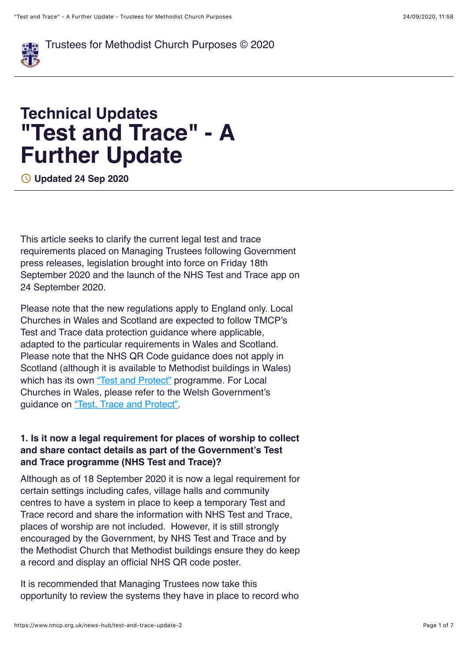

[Tr](https://www.tmcp.org.uk/)ustees for Methodist Church Purposes © 2020

# **Technical Updates "Test and Trace" - A Further Update**

! **Updated 24 Sep 2020**

This article seeks to clarify the current legal test and trace requirements placed on Managing Trustees following Government press releases, legislation brought into force on Friday 18th September 2020 and the launch of the NHS Test and Trace app on 24 September 2020.

Please note that the new regulations apply to England only. Local Churches in Wales and Scotland are expected to follow TMCP's Test and Trace data protection guidance where applicable, adapted to the particular requirements in Wales and Scotland. Please note that the NHS QR Code guidance does not apply in Scotland (although it is available to Methodist buildings in Wales) which has its own ["Test and Protect"](https://www.nhsinform.scot/campaigns/test-and-protect) programme. For Local Churches in Wales, please refer to the Welsh Government's guidance on ["Test, Trace and Protect"](https://gov.wales/keeping-records-staff-customers-and-visitors-test-trace-protect%23section-46231).

#### **1. Is it now a legal requirement for places of worship to collect and share contact details as part of the Government's Test and Trace programme (NHS Test and Trace)?**

Although as of 18 September 2020 it is now a legal requirement for certain settings including cafes, village halls and community centres to have a system in place to keep a temporary Test and Trace record and share the information with NHS Test and Trace, places of worship are not included. However, it is still strongly encouraged by the Government, by NHS Test and Trace and by the Methodist Church that Methodist buildings ensure they do keep a record and display an official NHS QR code poster.

It is recommended that Managing Trustees now take this opportunity to review the systems they have in place to record who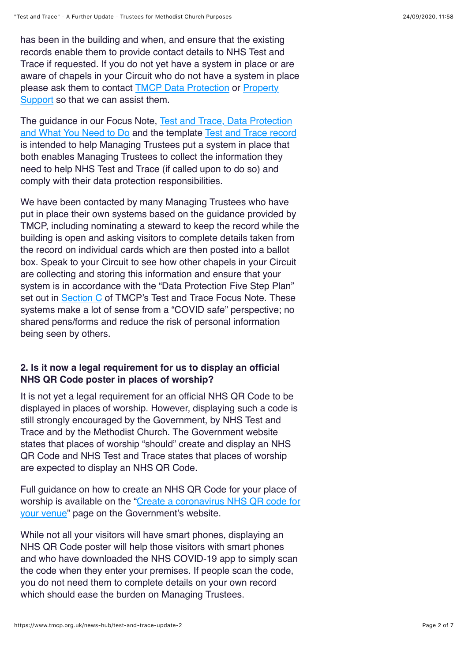has been in the building and when, and ensure that the existing records enable them to provide contact details to NHS Test and Trace if requested. If you do not yet have a system in place or are aware of chapels in your Circuit who do not have a system in place [please ask them to contact](https://www.methodist.org.uk/for-churches/property/property-support/) **[TMCP Data Protection](https://www.tmcp.org.uk/contact)** or **Property** Support so that we can assist them.

[The guidance in our Focus Note, Test and Trace, Data Protection](https://www.tmcp.org.uk/guidenotes/test-and-trace-what-you-need-to-do) and What You Need to Do and the template [Test and Trace record](https://www.tmcp.org.uk/standard-documents-and-forms/test-and-trace) is intended to help Managing Trustees put a system in place that both enables Managing Trustees to collect the information they need to help NHS Test and Trace (if called upon to do so) and comply with their data protection responsibilities.

We have been contacted by many Managing Trustees who have put in place their own systems based on the guidance provided by TMCP, including nominating a steward to keep the record while the building is open and asking visitors to complete details taken from the record on individual cards which are then posted into a ballot box. Speak to your Circuit to see how other chapels in your Circuit are collecting and storing this information and ensure that your system is in accordance with the "Data Protection Five Step Plan" set out in [Section C](https://www.tmcp.org.uk/about/covid19/resources/guidenotes/test-and-trace-what-you-need-to-do%23C) of TMCP's Test and Trace Focus Note. These systems make a lot of sense from a "COVID safe" perspective; no shared pens/forms and reduce the risk of personal information being seen by others.

## **2. Is it now a legal requirement for us to display an official NHS QR Code poster in places of worship?**

It is not yet a legal requirement for an official NHS QR Code to be displayed in places of worship. However, displaying such a code is still strongly encouraged by the Government, by NHS Test and Trace and by the Methodist Church. The Government website states that places of worship "should" create and display an NHS QR Code and NHS Test and Trace states that places of worship are expected to display an NHS QR Code.

Full guidance on how to create an NHS QR Code for your place of [worship is available on the "Create a coronavirus NHS QR code for](https://www.gov.uk/create-coronavirus-qr-poster) your venue" page on the Government's website.

While not all your visitors will have smart phones, displaying an NHS QR Code poster will help those visitors with smart phones and who have downloaded the NHS COVID-19 app to simply scan the code when they enter your premises. If people scan the code, you do not need them to complete details on your own record which should ease the burden on Managing Trustees.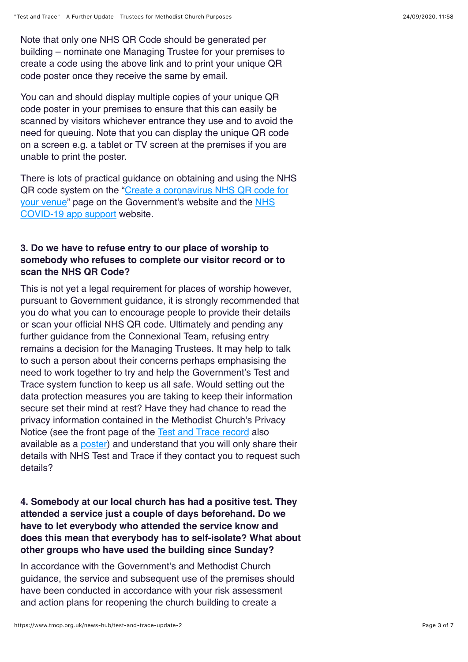Note that only one NHS QR Code should be generated per building – nominate one Managing Trustee for your premises to create a code using the above link and to print your unique QR code poster once they receive the same by email.

You can and should display multiple copies of your unique QR code poster in your premises to ensure that this can easily be scanned by visitors whichever entrance they use and to avoid the need for queuing. Note that you can display the unique QR code on a screen e.g. a tablet or TV screen at the premises if you are unable to print the poster.

There is lots of practical guidance on obtaining and using the NHS [QR code system on the "Create a coronavirus NHS QR code for](https://www.gov.uk/create-coronavirus-qr-poster) [your venue" page on the Government's website and the NHS](https://faq.covid19.nhs.uk/category/?id=CAT-01027&parentid=CAT-01025) COVID-19 app support website.

#### **3. Do we have to refuse entry to our place of worship to somebody who refuses to complete our visitor record or to scan the NHS QR Code?**

This is not yet a legal requirement for places of worship however, pursuant to Government guidance, it is strongly recommended that you do what you can to encourage people to provide their details or scan your official NHS QR code. Ultimately and pending any further guidance from the Connexional Team, refusing entry remains a decision for the Managing Trustees. It may help to talk to such a person about their concerns perhaps emphasising the need to work together to try and help the Government's Test and Trace system function to keep us all safe. Would setting out the data protection measures you are taking to keep their information secure set their mind at rest? Have they had chance to read the privacy information contained in the Methodist Church's Privacy Notice (see the front page of the [Test and Trace record](https://www.tmcp.org.uk/standard-documents-and-forms/test-and-trace) also available as a **[poster](https://www.tmcp.org.uk/kcfinder-uploads/files/test-and-trace-poster.docx)**) and understand that you will only share their details with NHS Test and Trace if they contact you to request such details?

### **4. Somebody at our local church has had a positive test. They attended a service just a couple of days beforehand. Do we have to let everybody who attended the service know and does this mean that everybody has to self-isolate? What about other groups who have used the building since Sunday?**

In accordance with the Government's and Methodist Church guidance, the service and subsequent use of the premises should have been conducted in accordance with your risk assessment and action plans for reopening the church building to create a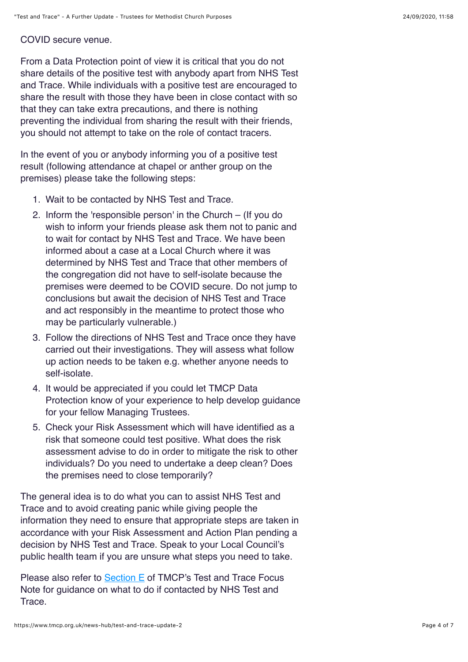COVID secure venue.

From a Data Protection point of view it is critical that you do not share details of the positive test with anybody apart from NHS Test and Trace. While individuals with a positive test are encouraged to share the result with those they have been in close contact with so that they can take extra precautions, and there is nothing preventing the individual from sharing the result with their friends, you should not attempt to take on the role of contact tracers.

In the event of you or anybody informing you of a positive test result (following attendance at chapel or anther group on the premises) please take the following steps:

- 1. Wait to be contacted by NHS Test and Trace.
- 2. Inform the 'responsible person' in the Church (If you do wish to inform your friends please ask them not to panic and to wait for contact by NHS Test and Trace. We have been informed about a case at a Local Church where it was determined by NHS Test and Trace that other members of the congregation did not have to self-isolate because the premises were deemed to be COVID secure. Do not jump to conclusions but await the decision of NHS Test and Trace and act responsibly in the meantime to protect those who may be particularly vulnerable.)
- 3. Follow the directions of NHS Test and Trace once they have carried out their investigations. They will assess what follow up action needs to be taken e.g. whether anyone needs to self-isolate.
- 4. It would be appreciated if you could let TMCP Data Protection know of your experience to help develop guidance for your fellow Managing Trustees.
- 5. Check your Risk Assessment which will have identified as a risk that someone could test positive. What does the risk assessment advise to do in order to mitigate the risk to other individuals? Do you need to undertake a deep clean? Does the premises need to close temporarily?

The general idea is to do what you can to assist NHS Test and Trace and to avoid creating panic while giving people the information they need to ensure that appropriate steps are taken in accordance with your Risk Assessment and Action Plan pending a decision by NHS Test and Trace. Speak to your Local Council's public health team if you are unsure what steps you need to take.

Please also refer to [Section E](https://www.tmcp.org.uk/about/covid19/resources/guidenotes/test-and-trace-what-you-need-to-do%23E) of TMCP's Test and Trace Focus Note for guidance on what to do if contacted by NHS Test and Trace.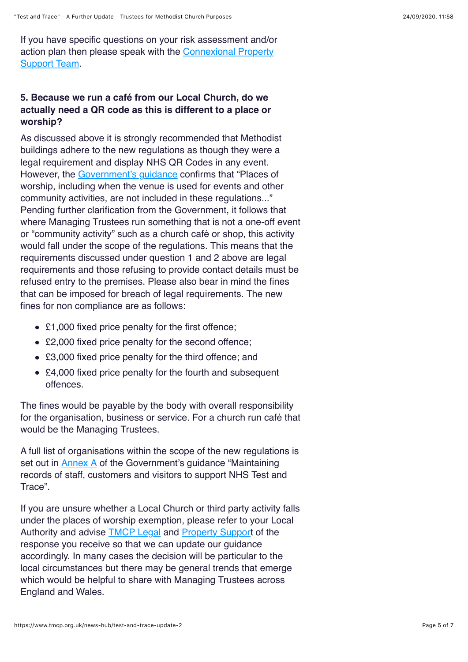If you have specific questions on your risk assessment and/or [action plan then please speak with the Connexional Property](https://www.methodist.org.uk/for-churches/property/property-support/) Support Team.

## **5. Because we run a café from our Local Church, do we actually need a QR code as this is different to a place or worship?**

As discussed above it is strongly recommended that Methodist buildings adhere to the new regulations as though they were a legal requirement and display NHS QR Codes in any event. However, the [Government's guidance](https://www.gov.uk/guidance/maintaining-records-of-staff-customers-and-visitors-to-support-nhs-test-and-trace%23sectors-that-this-guidance-applies-to) confirms that "Places of worship, including when the venue is used for events and other community activities, are not included in these regulations..." Pending further clarification from the Government, it follows that where Managing Trustees run something that is not a one-off event or "community activity" such as a church café or shop, this activity would fall under the scope of the regulations. This means that the requirements discussed under question 1 and 2 above are legal requirements and those refusing to provide contact details must be refused entry to the premises. Please also bear in mind the fines that can be imposed for breach of legal requirements. The new fines for non compliance are as follows:

- £1,000 fixed price penalty for the first offence;
- £2,000 fixed price penalty for the second offence;
- £3,000 fixed price penalty for the third offence; and
- £4,000 fixed price penalty for the fourth and subsequent offences.

The fines would be payable by the body with overall responsibility for the organisation, business or service. For a church run café that would be the Managing Trustees.

A full list of organisations within the scope of the new regulations is set out in [Annex A](https://www.gov.uk/guidance/maintaining-records-of-staff-customers-and-visitors-to-support-nhs-test-and-trace%23list-of-settings) of the Government's quidance "Maintaining" records of staff, customers and visitors to support NHS Test and Trace".

If you are unsure whether a Local Church or third party activity falls under the places of worship exemption, please refer to your Local Authority and advise [TMCP Legal](https://www.tmcp.org.uk/contact) and [Property Support](https://www.methodist.org.uk/for-churches/property/property-support/) of the response you receive so that we can update our guidance accordingly. In many cases the decision will be particular to the local circumstances but there may be general trends that emerge which would be helpful to share with Managing Trustees across England and Wales.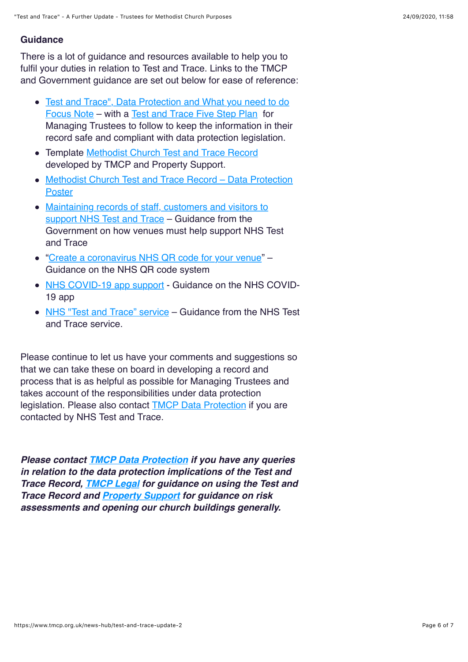#### **Guidance**

There is a lot of guidance and resources available to help you to fulfil your duties in relation to Test and Trace. Links to the TMCP and Government guidance are set out below for ease of reference:

- [Test and Trace", Data Protection and What you need to do](https://www.tmcp.org.uk/about/covid19/resources/guidenotes/test-and-trace-what-you-need-to-do) Focus Note – with a [Test and Trace Five Step Plan](https://www.tmcp.org.uk/about/covid19/resources/guidenotes/test-and-trace-what-you-need-to-do%23C) for Managing Trustees to follow to keep the information in their record safe and compliant with data protection legislation.
- Template [Methodist Church Test and Trace Record](https://www.tmcp.org.uk/standard-documents-and-forms/test-and-trace) developed by TMCP and Property Support.
- [Methodist Church Test and Trace Record Data Protection](https://www.tmcp.org.uk/kcfinder-uploads/files/test-and-trace-poster.docx) **Poster**
- [Maintaining records of staff, customers and visitors to](https://www.gov.uk/guidance/maintaining-records-of-staff-customers-and-visitors-to-support-nhs-test-and-trace) support NHS Test and Trace – Guidance from the Government on how venues must help support NHS Test and Trace
- ["Create a coronavirus NHS QR code for your venue"](https://www.gov.uk/create-coronavirus-qr-poster) Guidance on the NHS QR code system
- [NHS COVID-19 app support](https://faq.covid19.nhs.uk/category/?id=CAT-01027&parentid=CAT-01025)  Guidance on the NHS COVID-19 app
- [NHS "Test and Trace" service](https://www.gov.uk/guidance/nhs-test-and-trace-how-it-works) Guidance from the NHS Test and Trace service.

Please continue to let us have your comments and suggestions so that we can take these on board in developing a record and process that is as helpful as possible for Managing Trustees and takes account of the responsibilities under data protection legislation. Please also contact **TMCP Data Protection** if you are contacted by NHS Test and Trace.

*Please contact [TMCP Data Protection](https://www.tmcp.org.uk/contact) if you have any queries in relation to the data protection implications of the Test and Trace Record, [TMCP Legal](https://www.tmcp.org.uk/contact) for guidance on using the Test and Trace Record and [Property Support](https://www.methodist.org.uk/for-churches/property/property-support/) for guidance on risk assessments and opening our church buildings generally.*